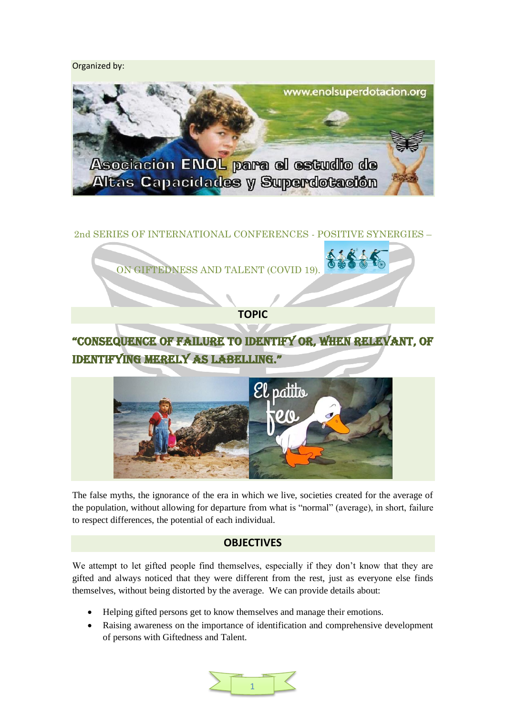Organized by:



# 2nd SERIES OF INTERNATIONAL CONFERENCES - POSITIVE SYNERGIES –



**TOPIC**

# "CONSEQUENCE OF FAILURE TO IDENTIFY OR, WHEN RELEVANT, OF IDENTIFYINg MERELY AS LABELLINg."



The false myths, the ignorance of the era in which we live, societies created for the average of the population, without allowing for departure from what is "normal" (average), in short, failure to respect differences, the potential of each individual.

# **OBJECTIVES**

We attempt to let gifted people find themselves, especially if they don't know that they are gifted and always noticed that they were different from the rest, just as everyone else finds themselves, without being distorted by the average. We can provide details about:

- Helping gifted persons get to know themselves and manage their emotions.
- Raising awareness on the importance of identification and comprehensive development of persons with Giftedness and Talent.

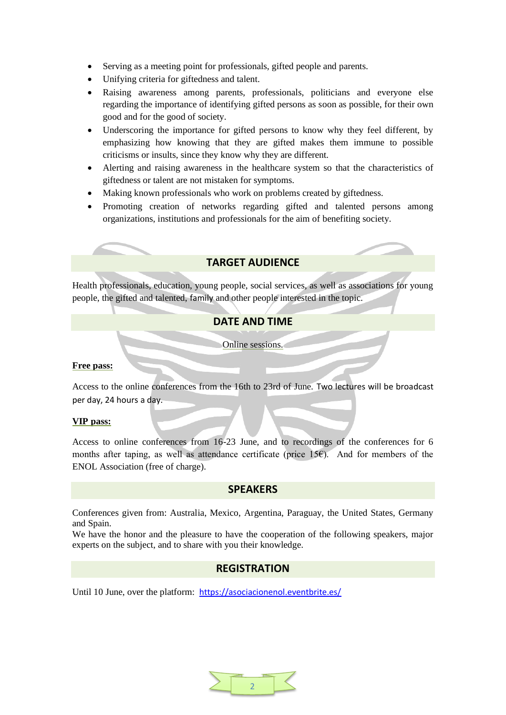- Serving as a meeting point for professionals, gifted people and parents.
- Unifying criteria for giftedness and talent.
- Raising awareness among parents, professionals, politicians and everyone else regarding the importance of identifying gifted persons as soon as possible, for their own good and for the good of society.
- Underscoring the importance for gifted persons to know why they feel different, by emphasizing how knowing that they are gifted makes them immune to possible criticisms or insults, since they know why they are different.
- Alerting and raising awareness in the healthcare system so that the characteristics of giftedness or talent are not mistaken for symptoms.
- Making known professionals who work on problems created by giftedness.
- Promoting creation of networks regarding gifted and talented persons among organizations, institutions and professionals for the aim of benefiting society.

# **TARGET AUDIENCE**

Health professionals, education, young people, social services, as well as associations for young people, the gifted and talented, family and other people interested in the topic.

# **DATE AND TIME**

Online sessions.

# **Free pass:**

Access to the online conferences from the 16th to 23rd of June. Two lectures will be broadcast per day, 24 hours a day.

# **VIP pass:**

Access to online conferences from 16-23 June, and to recordings of the conferences for 6 months after taping, as well as attendance certificate (price 15 $\epsilon$ ). And for members of the ENOL Association (free of charge).

# **SPEAKERS**

Conferences given from: Australia, Mexico, Argentina, Paraguay, the United States, Germany and Spain.

We have the honor and the pleasure to have the cooperation of the following speakers, major experts on the subject, and to share with you their knowledge.

# **REGISTRATION**

Until 10 June, over the platform: <https://asociacionenol.eventbrite.es/>

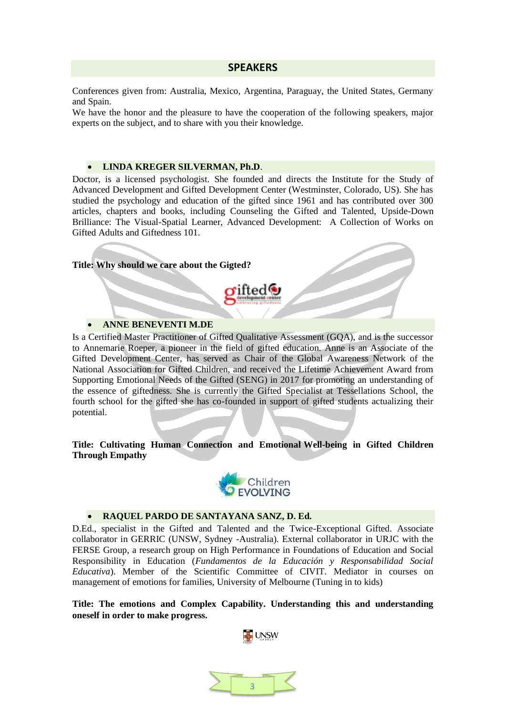#### **SPEAKERS**

Conferences given from: Australia, Mexico, Argentina, Paraguay, the United States, Germany and Spain.

We have the honor and the pleasure to have the cooperation of the following speakers, major experts on the subject, and to share with you their knowledge.

#### **LINDA KREGER SILVERMAN, Ph.D**.

Doctor, is a licensed psychologist. She founded and directs the Institute for the Study of Advanced Development and Gifted Development Center (Westminster, Colorado, US). She has studied the psychology and education of the gifted since 1961 and has contributed over 300 articles, chapters and books, including Counseling the Gifted and Talented, Upside-Down Brilliance: The Visual-Spatial Learner, Advanced Development: A Collection of Works on Gifted Adults and Giftedness 101.

#### **Title: Why should we care about the Gigted?**

#### **ANNE BENEVENTI M.DE**

Is a Certified Master Practitioner of Gifted Qualitative Assessment (GQA), and is the successor to Annemarie Roeper, a pioneer in the field of gifted education. Anne is an Associate of the Gifted Development Center, has served as Chair of the Global Awareness Network of the National Association for Gifted Children, and received the Lifetime Achievement Award from Supporting Emotional Needs of the Gifted (SENG) in 2017 for promoting an understanding of the essence of giftedness. She is currently the Gifted Specialist at Tessellations School, the fourth school for the gifted she has co-founded in support of gifted students actualizing their potential.

**Title: Cultivating Human Connection and Emotional Well-being in Gifted Children Through Empathy**



#### **RAQUEL PARDO DE SANTAYANA SANZ, D. Ed.**

D.Ed., specialist in the Gifted and Talented and the Twice-Exceptional Gifted. Associate collaborator in GERRIC (UNSW, Sydney -Australia). External collaborator in URJC with the FERSE Group, a research group on High Performance in Foundations of Education and Social Responsibility in Education (*Fundamentos de la Educación y Responsabilidad Social Educativa*). Member of the Scientific Committee of CIVIT. Mediator in courses on management of emotions for families, University of Melbourne (Tuning in to kids)

**Title: The emotions and Complex Capability. Understanding this and understanding oneself in order to make progress.**

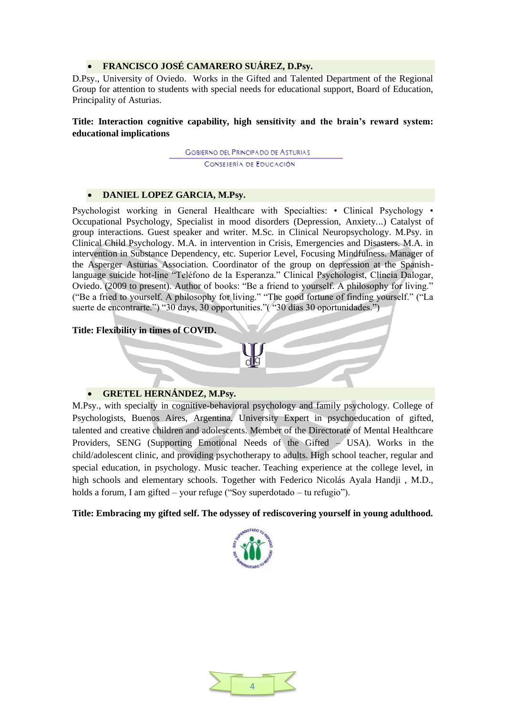# **FRANCISCO JOSÉ CAMARERO SUÁREZ, D.Psy.**

D.Psy., University of Oviedo. Works in the Gifted and Talented Department of the Regional Group for attention to students with special needs for educational support, Board of Education, Principality of Asturias.

# **Title: Interaction cognitive capability, high sensitivity and the brain's reward system: educational implications**

**GOBIERNO DEL PRINCIPADO DE ASTURIAS** CONSEJERÍA DE EDUCACIÓN

#### **DANIEL LOPEZ GARCIA, M.Psy.**

Psychologist working in General Healthcare with Specialties: • Clinical Psychology Occupational Psychology, Specialist in mood disorders (Depression, Anxiety...) Catalyst of group interactions. Guest speaker and writer. M.Sc. in Clinical Neuropsychology. M.Psy. in Clinical Child Psychology. M.A. in intervention in Crisis, Emergencies and Disasters. M.A. in intervention in Substance Dependency, etc. Superior Level, Focusing Mindfulness. Manager of the Asperger Asturias Association. Coordinator of the group on depression at the Spanishlanguage suicide hot-line "Teléfono de la Esperanza." Clinical Psychologist, Clíncia Dalogar, Oviedo. (2009 to present). Author of books: "Be a friend to yourself. A philosophy for living." ("Be a fried to yourself. A philosophy for living." "The good fortune of finding yourself." ("La suerte de encontrarte.") "30 days, 30 opportunities."( "30 días 30 oportunidades.")

#### **Title: Flexibility in times of COVID.**

#### **GRETEL HERNÁNDEZ, M.Psy.**

M.Psy., with specialty in cognitive-behavioral psychology and family psychology. College of Psychologists, Buenos Aires, Argentina. University Expert in psychoeducation of gifted, talented and creative children and adolescents. Member of the Directorate of Mental Healthcare Providers, SENG (Supporting Emotional Needs of the Gifted – USA). Works in the child/adolescent clinic, and providing psychotherapy to adults. High school teacher, regular and special education, in psychology. Music teacher. Teaching experience at the college level, in high schools and elementary schools. Together with Federico Nicolás Ayala Handji , M.D., holds a forum, I am gifted – your refuge ("Soy superdotado – tu refugio").

**Title: Embracing my gifted self. The odyssey of rediscovering yourself in young adulthood.**



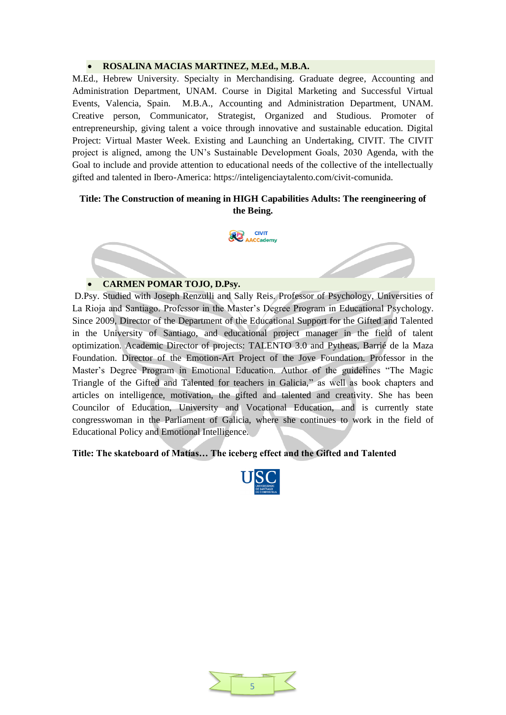# **ROSALINA MACIAS MARTINEZ, M.Ed., M.B.A.**

M.Ed., Hebrew University. Specialty in Merchandising. Graduate degree, Accounting and Administration Department, UNAM. Course in Digital Marketing and Successful Virtual Events, Valencia, Spain. M.B.A., Accounting and Administration Department, UNAM. Creative person, Communicator, Strategist, Organized and Studious. Promoter of entrepreneurship, giving talent a voice through innovative and sustainable education. Digital Project: Virtual Master Week. Existing and Launching an Undertaking, CIVIT. The CIVIT project is aligned, among the UN's Sustainable Development Goals, 2030 Agenda, with the Goal to include and provide attention to educational needs of the collective of the intellectually gifted and talented in Ibero-America: https://inteligenciaytalento.com/civit-comunida.

# **Title: The Construction of meaning in HIGH Capabilities Adults: The reengineering of the Being.**



# **CARMEN POMAR TOJO, D.Psy.**

D.Psy. Studied with Joseph Renzulli and Sally Reis. Professor of Psychology, Universities of La Rioja and Santiago. Professor in the Master's Degree Program in Educational Psychology. Since 2009, Director of the Department of the Educational Support for the Gifted and Talented in the University of Santiago, and educational project manager in the field of talent optimization. Academic Director of projects: TALENTO 3.0 and Pytheas, Barrié de la Maza Foundation. Director of the Emotion-Art Project of the Jove Foundation. Professor in the Master's Degree Program in Emotional Education. Author of the guidelines "The Magic Triangle of the Gifted and Talented for teachers in Galicia," as well as book chapters and articles on intelligence, motivation, the gifted and talented and creativity. She has been Councilor of Education, University and Vocational Education, and is currently state congresswoman in the Parliament of Galicia, where she continues to work in the field of Educational Policy and Emotional Intelligence.

**Title: The skateboard of Matías… The iceberg effect and the Gifted and Talented**



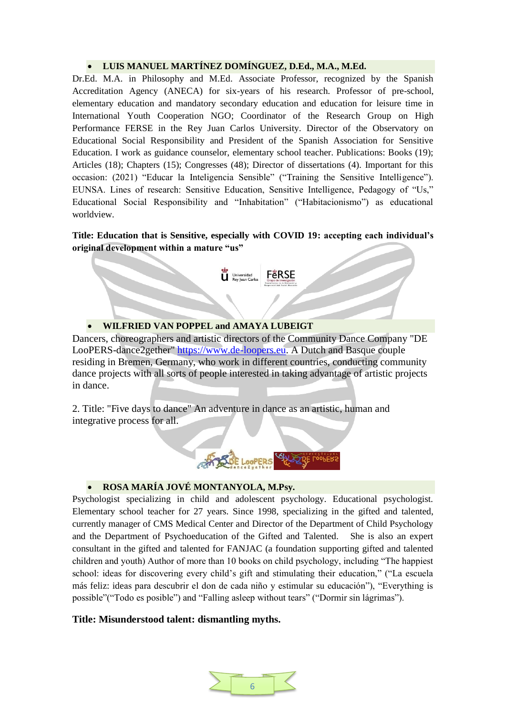# **LUIS MANUEL MARTÍNEZ DOMÍNGUEZ, D.Ed., M.A., M.Ed.**

Dr.Ed. M.A. in Philosophy and M.Ed. Associate Professor, recognized by the Spanish Accreditation Agency (ANECA) for six-years of his research. Professor of pre-school, elementary education and mandatory secondary education and education for leisure time in International Youth Cooperation NGO; Coordinator of the Research Group on High Performance FERSE in the Rey Juan Carlos University. Director of the Observatory on Educational Social Responsibility and President of the Spanish Association for Sensitive Education. I work as guidance counselor, elementary school teacher. Publications: Books (19); Articles (18); Chapters (15); Congresses (48); Director of dissertations (4). Important for this occasion: (2021) "Educar la Inteligencia Sensible" ("Training the Sensitive Intelligence"). EUNSA. Lines of research: Sensitive Education, Sensitive Intelligence, Pedagogy of "Us," Educational Social Responsibility and "Inhabitation" ("Habitacionismo") as educational worldview.

**Title: Education that is Sensitive, especially with COVID 19: accepting each individual's original development within a mature "us"**

Universidad FERSE

**WILFRIED VAN POPPEL and AMAYA LUBEIGT**

Dancers, choreographers and artistic directors of the Community Dance Company "DE LooPERS-dance2gether" [https://www.de-loopers.eu.](https://www.de-loopers.eu/bienvenido.html) A Dutch and Basque couple residing in Bremen, Germany, who work in different countries, conducting community dance projects with all sorts of people interested in taking advantage of artistic projects in dance.

2. Title: "Five days to dance" An adventure in dance as an artistic, human and integrative process for all.



# **ROSA MARÍA JOVÉ MONTANYOLA, M.Psy.**

Psychologist specializing in child and adolescent psychology. Educational psychologist. Elementary school teacher for 27 years. Since 1998, specializing in the gifted and talented, currently manager of CMS Medical Center and Director of the Department of Child Psychology and the Department of Psychoeducation of the Gifted and Talented. She is also an expert consultant in the gifted and talented for FANJAC (a foundation supporting gifted and talented children and youth) Author of more than 10 books on child psychology, including "The happiest school: ideas for discovering every child's gift and stimulating their education," ("La escuela más feliz: ideas para descubrir el don de cada niño y estimular su educación"), "Everything is possible"("Todo es posible") and "Falling asleep without tears" ("Dormir sin lágrimas").

# **Title: Misunderstood talent: dismantling myths.**

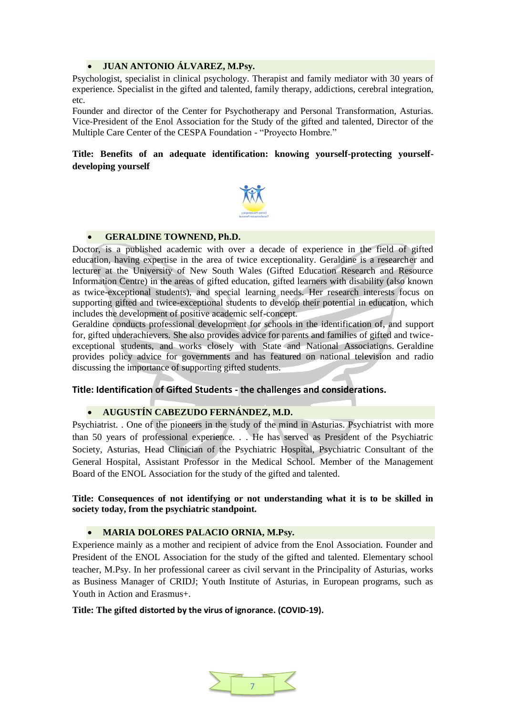# **JUAN ANTONIO ÁLVAREZ, M.Psy.**

Psychologist, specialist in clinical psychology. Therapist and family mediator with 30 years of experience. Specialist in the gifted and talented, family therapy, addictions, cerebral integration, etc.

Founder and director of the Center for Psychotherapy and Personal Transformation, Asturias. Vice-President of the Enol Association for the Study of the gifted and talented, Director of the Multiple Care Center of the CESPA Foundation - "Proyecto Hombre."

# **Title: Benefits of an adequate identification: knowing yourself-protecting yourselfdeveloping yourself**



# **GERALDINE TOWNEND, Ph.D.**

Doctor, is a published academic with over a decade of experience in the field of gifted education, having expertise in the area of twice exceptionality. Geraldine is a researcher and lecturer at the University of New South Wales (Gifted Education Research and Resource Information Centre) in the areas of gifted education, gifted learners with disability (also known as twice-exceptional students), and special learning needs. Her research interests focus on supporting gifted and twice-exceptional students to develop their potential in education, which includes the development of positive academic self-concept.

Geraldine conducts professional development for schools in the identification of, and support for, gifted underachievers. She also provides advice for parents and families of gifted and twiceexceptional students, and works closely with State and National Associations. Geraldine provides policy advice for governments and has featured on national television and radio discussing the importance of supporting gifted students.

# **Title: Identification of Gifted Students - the challenges and considerations.**

# **AUGUSTÍN CABEZUDO FERNÁNDEZ, M.D.**

Psychiatrist. . One of the pioneers in the study of the mind in Asturias. Psychiatrist with more than 50 years of professional experience. . . He has served as President of the Psychiatric Society, Asturias, Head Clinician of the Psychiatric Hospital, Psychiatric Consultant of the General Hospital, Assistant Professor in the Medical School. Member of the Management Board of the ENOL Association for the study of the gifted and talented.

**Title: Consequences of not identifying or not understanding what it is to be skilled in society today, from the psychiatric standpoint.**

# **MARIA DOLORES PALACIO ORNIA, M.Psy.**

Experience mainly as a mother and recipient of advice from the Enol Association. Founder and President of the ENOL Association for the study of the gifted and talented. Elementary school teacher, M.Psy. In her professional career as civil servant in the Principality of Asturias, works as Business Manager of CRIDJ; Youth Institute of Asturias, in European programs, such as Youth in Action and Erasmus+.

# **Title: The gifted distorted by the virus of ignorance. (COVID-19).**